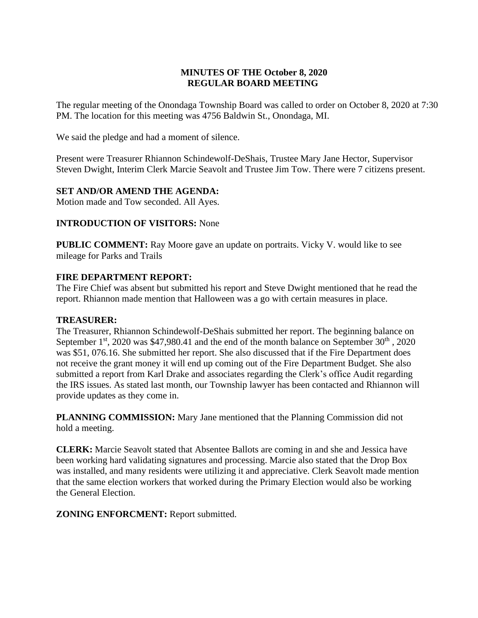# **MINUTES OF THE October 8, 2020 REGULAR BOARD MEETING**

The regular meeting of the Onondaga Township Board was called to order on October 8, 2020 at 7:30 PM. The location for this meeting was 4756 Baldwin St., Onondaga, MI.

We said the pledge and had a moment of silence.

Present were Treasurer Rhiannon Schindewolf-DeShais, Trustee Mary Jane Hector, Supervisor Steven Dwight, Interim Clerk Marcie Seavolt and Trustee Jim Tow. There were 7 citizens present.

# **SET AND/OR AMEND THE AGENDA:**

Motion made and Tow seconded. All Ayes.

# **INTRODUCTION OF VISITORS:** None

**PUBLIC COMMENT:** Ray Moore gave an update on portraits. Vicky V. would like to see mileage for Parks and Trails

## **FIRE DEPARTMENT REPORT:**

The Fire Chief was absent but submitted his report and Steve Dwight mentioned that he read the report. Rhiannon made mention that Halloween was a go with certain measures in place.

### **TREASURER:**

The Treasurer, Rhiannon Schindewolf-DeShais submitted her report. The beginning balance on September  $1<sup>st</sup>$ , 2020 was \$47,980.41 and the end of the month balance on September 30<sup>th</sup>, 2020 was \$51, 076.16. She submitted her report. She also discussed that if the Fire Department does not receive the grant money it will end up coming out of the Fire Department Budget. She also submitted a report from Karl Drake and associates regarding the Clerk's office Audit regarding the IRS issues. As stated last month, our Township lawyer has been contacted and Rhiannon will provide updates as they come in.

**PLANNING COMMISSION:** Mary Jane mentioned that the Planning Commission did not hold a meeting.

**CLERK:** Marcie Seavolt stated that Absentee Ballots are coming in and she and Jessica have been working hard validating signatures and processing. Marcie also stated that the Drop Box was installed, and many residents were utilizing it and appreciative. Clerk Seavolt made mention that the same election workers that worked during the Primary Election would also be working the General Election.

**ZONING ENFORCMENT:** Report submitted.